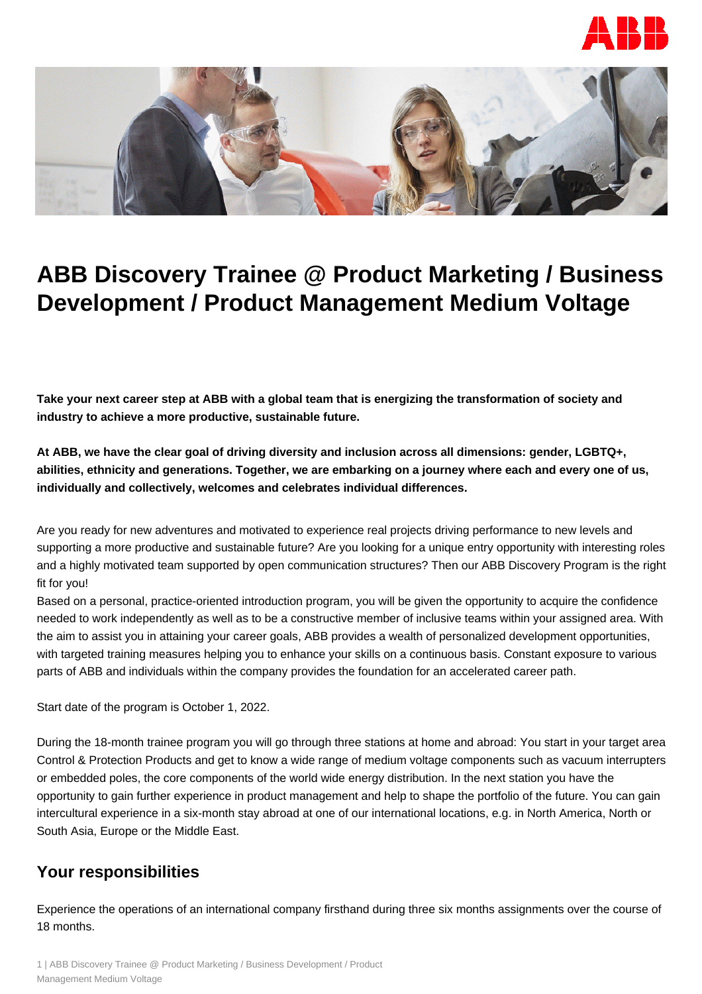



# **ABB Discovery Trainee @ Product Marketing / Business Development / Product Management Medium Voltage**

**Take your next career step at ABB with a global team that is energizing the transformation of society and industry to achieve a more productive, sustainable future.**

**At ABB, we have the clear goal of driving diversity and inclusion across all dimensions: gender, LGBTQ+, abilities, ethnicity and generations. Together, we are embarking on a journey where each and every one of us, individually and collectively, welcomes and celebrates individual differences.**

Are you ready for new adventures and motivated to experience real projects driving performance to new levels and supporting a more productive and sustainable future? Are you looking for a unique entry opportunity with interesting roles and a highly motivated team supported by open communication structures? Then our ABB Discovery Program is the right fit for you!

Based on a personal, practice-oriented introduction program, you will be given the opportunity to acquire the confidence needed to work independently as well as to be a constructive member of inclusive teams within your assigned area. With the aim to assist you in attaining your career goals, ABB provides a wealth of personalized development opportunities, with targeted training measures helping you to enhance your skills on a continuous basis. Constant exposure to various parts of ABB and individuals within the company provides the foundation for an accelerated career path.

Start date of the program is October 1, 2022.

During the 18-month trainee program you will go through three stations at home and abroad: You start in your target area Control & Protection Products and get to know a wide range of medium voltage components such as vacuum interrupters or embedded poles, the core components of the world wide energy distribution. In the next station you have the opportunity to gain further experience in product management and help to shape the portfolio of the future. You can gain intercultural experience in a six-month stay abroad at one of our international locations, e.g. in North America, North or South Asia, Europe or the Middle East.

### **Your responsibilities**

Experience the operations of an international company firsthand during three six months assignments over the course of 18 months.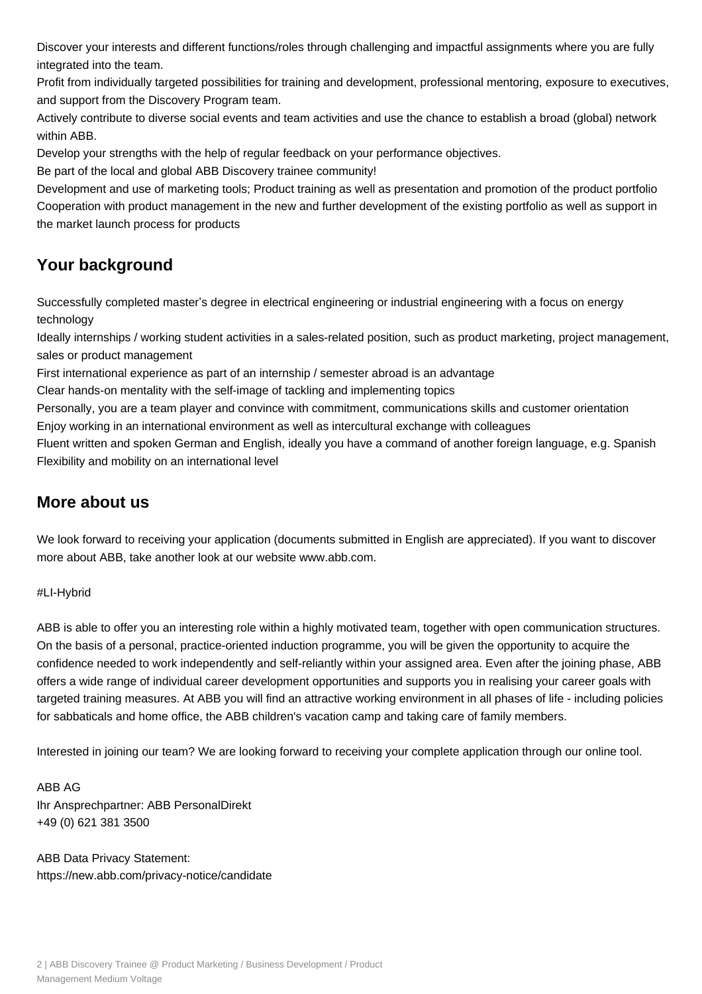Discover your interests and different functions/roles through challenging and impactful assignments where you are fully integrated into the team.

Profit from individually targeted possibilities for training and development, professional mentoring, exposure to executives, and support from the Discovery Program team.

Actively contribute to diverse social events and team activities and use the chance to establish a broad (global) network within ABB.

Develop your strengths with the help of regular feedback on your performance objectives.

Be part of the local and global ABB Discovery trainee community!

Development and use of marketing tools; Product training as well as presentation and promotion of the product portfolio Cooperation with product management in the new and further development of the existing portfolio as well as support in the market launch process for products

# **Your background**

Successfully completed master's degree in electrical engineering or industrial engineering with a focus on energy technology

Ideally internships / working student activities in a sales-related position, such as product marketing, project management, sales or product management

First international experience as part of an internship / semester abroad is an advantage

Clear hands-on mentality with the self-image of tackling and implementing topics

Personally, you are a team player and convince with commitment, communications skills and customer orientation Enjoy working in an international environment as well as intercultural exchange with colleagues

Fluent written and spoken German and English, ideally you have a command of another foreign language, e.g. Spanish Flexibility and mobility on an international level

## **More about us**

We look forward to receiving your application (documents submitted in English are appreciated). If you want to discover more about ABB, take another look at our website www.abb.com.

#### #LI-Hybrid

ABB is able to offer you an interesting role within a highly motivated team, together with open communication structures. On the basis of a personal, practice-oriented induction programme, you will be given the opportunity to acquire the confidence needed to work independently and self-reliantly within your assigned area. Even after the joining phase, ABB offers a wide range of individual career development opportunities and supports you in realising your career goals with targeted training measures. At ABB you will find an attractive working environment in all phases of life - including policies for sabbaticals and home office, the ABB children's vacation camp and taking care of family members.

Interested in joining our team? We are looking forward to receiving your complete application through our online tool.

ABB AG Ihr Ansprechpartner: ABB PersonalDirekt +49 (0) 621 381 3500

ABB Data Privacy Statement: https://new.abb.com/privacy-notice/candidate